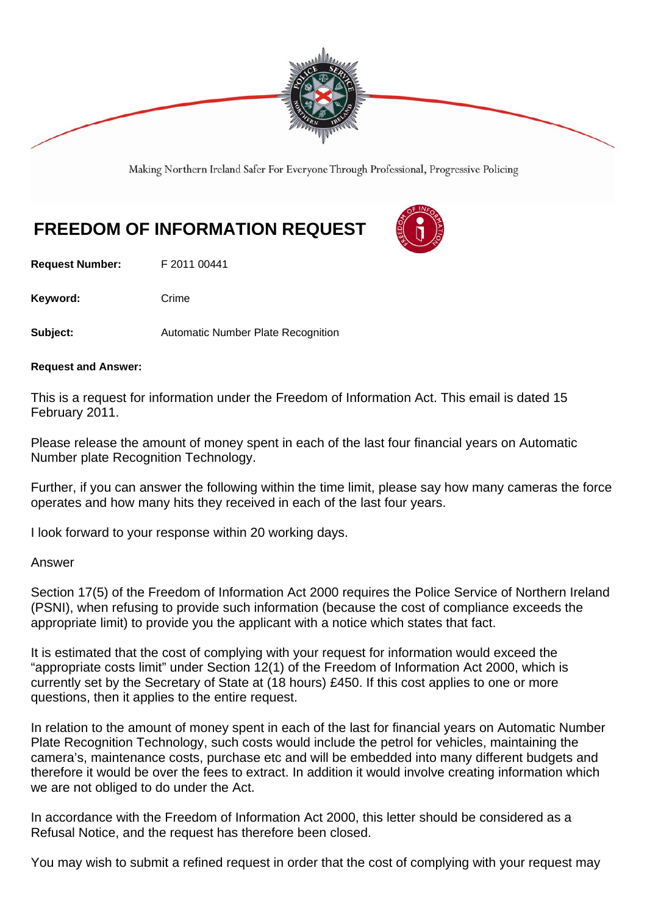

Making Northern Ireland Safer For Everyone Through Professional, Progressive Policing

## **FREEDOM OF INFORMATION REQUEST**

**Request Number:** F 2011 00441

Keyword: Crime

**Subject: Automatic Number Plate Recognition** 

**Request and Answer:** 

This is a request for information under the Freedom of Information Act. This email is dated 15 February 2011.

Please release the amount of money spent in each of the last four financial years on Automatic Number plate Recognition Technology.

Further, if you can answer the following within the time limit, please say how many cameras the force operates and how many hits they received in each of the last four years.

I look forward to your response within 20 working days.

## Answer

Section 17(5) of the Freedom of Information Act 2000 requires the Police Service of Northern Ireland (PSNI), when refusing to provide such information (because the cost of compliance exceeds the appropriate limit) to provide you the applicant with a notice which states that fact.

It is estimated that the cost of complying with your request for information would exceed the "appropriate costs limit" under Section 12(1) of the Freedom of Information Act 2000, which is currently set by the Secretary of State at (18 hours) £450. If this cost applies to one or more questions, then it applies to the entire request.

In relation to the amount of money spent in each of the last for financial years on Automatic Number Plate Recognition Technology, such costs would include the petrol for vehicles, maintaining the camera's, maintenance costs, purchase etc and will be embedded into many different budgets and therefore it would be over the fees to extract. In addition it would involve creating information which we are not obliged to do under the Act.

In accordance with the Freedom of Information Act 2000, this letter should be considered as a Refusal Notice, and the request has therefore been closed.

You may wish to submit a refined request in order that the cost of complying with your request may